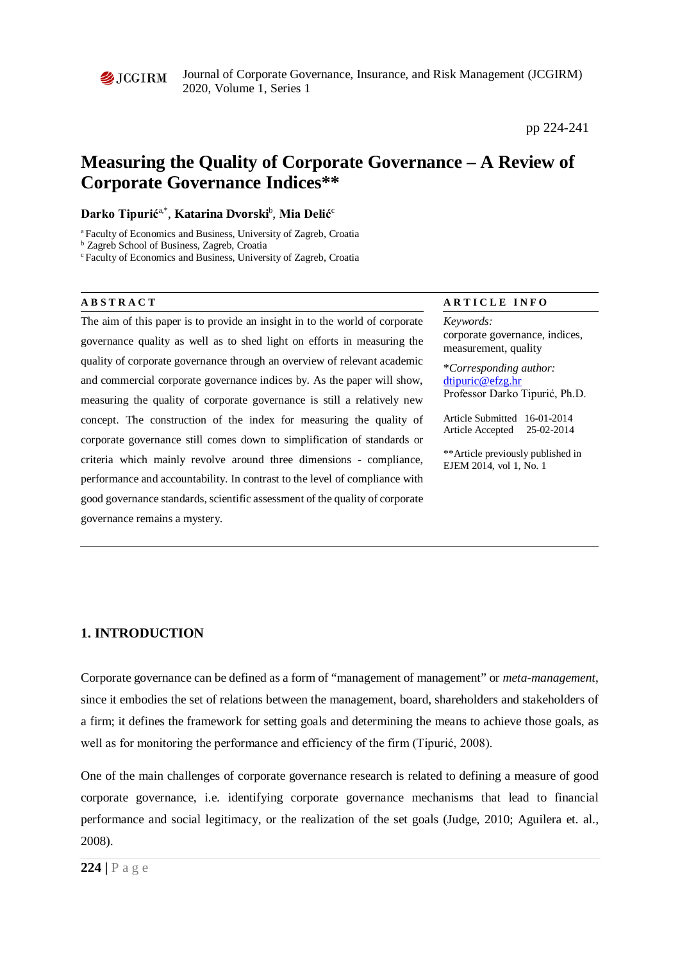

Journal of Corporate Governance, Insurance, and Risk Management (JCGIRM) 2020, Volume 1, Series 1

pp 224-241

# **Measuring the Quality of Corporate Governance – A Review of Corporate Governance Indices\*\***

## **Darko Tipurić**a,\*, **Katarina Dvorski**<sup>b</sup> , **Mia Delić**<sup>c</sup>

a Faculty of Economics and Business, University of Zagreb, Croatia

<sup>b</sup> Zagreb School of Business, Zagreb, Croatia

c Faculty of Economics and Business, University of Zagreb, Croatia

The aim of this paper is to provide an insight in to the world of corporate governance quality as well as to shed light on efforts in measuring the quality of corporate governance through an overview of relevant academic and commercial corporate governance indices by. As the paper will show, measuring the quality of corporate governance is still a relatively new concept. The construction of the index for measuring the quality of corporate governance still comes down to simplification of standards or criteria which mainly revolve around three dimensions - compliance, performance and accountability. In contrast to the level of compliance with good governance standards, scientific assessment of the quality of corporate governance remains a mystery.

#### **ABSTRACT ARTICLE INFO**

*Keywords:* corporate governance, indices, measurement, quality

\**Corresponding author:*  [dtipuric@efzg.hr](mailto:dtipuric@efzg.hr) Professor Darko Tipurić, Ph.D.

Article Submitted 16-01-2014 Article Accepted 25-02-2014

\*\*Article previously published in EJEM 2014, vol 1, No. 1

# **1. INTRODUCTION**

Corporate governance can be defined as a form of "management of management" or *meta-management*, since it embodies the set of relations between the management, board, shareholders and stakeholders of a firm; it defines the framework for setting goals and determining the means to achieve those goals, as well as for monitoring the performance and efficiency of the firm (Tipurić, 2008).

One of the main challenges of corporate governance research is related to defining a measure of good corporate governance, i.e. identifying corporate governance mechanisms that lead to financial performance and social legitimacy, or the realization of the set goals (Judge, 2010; Aguilera et. al., 2008).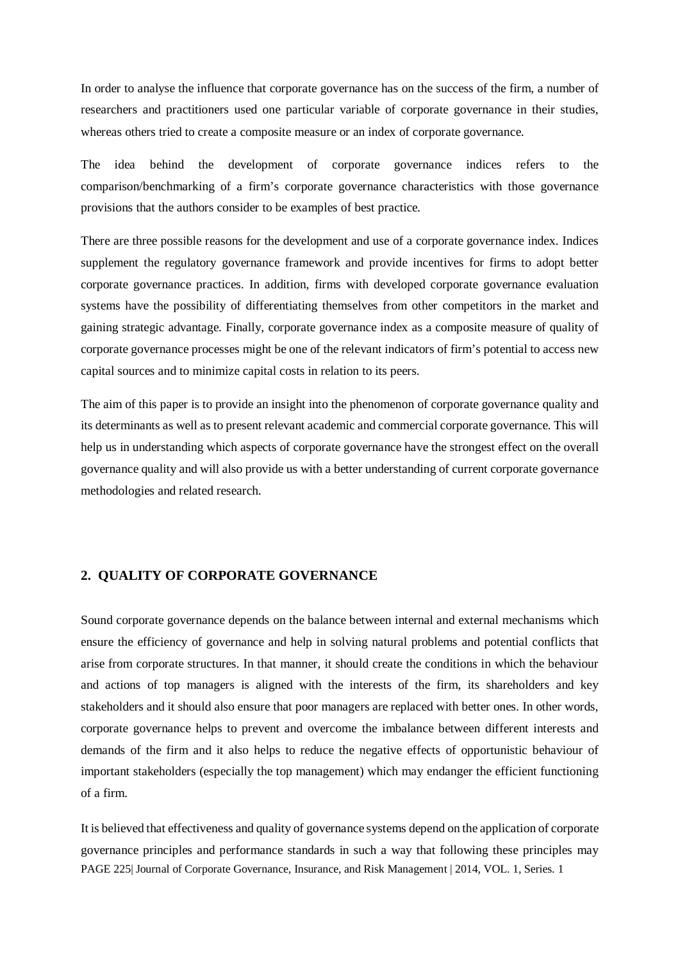In order to analyse the influence that corporate governance has on the success of the firm, a number of researchers and practitioners used one particular variable of corporate governance in their studies, whereas others tried to create a composite measure or an index of corporate governance.

The idea behind the development of corporate governance indices refers to the comparison/benchmarking of a firm's corporate governance characteristics with those governance provisions that the authors consider to be examples of best practice.

There are three possible reasons for the development and use of a corporate governance index. Indices supplement the regulatory governance framework and provide incentives for firms to adopt better corporate governance practices. In addition, firms with developed corporate governance evaluation systems have the possibility of differentiating themselves from other competitors in the market and gaining strategic advantage. Finally, corporate governance index as a composite measure of quality of corporate governance processes might be one of the relevant indicators of firm's potential to access new capital sources and to minimize capital costs in relation to its peers.

The aim of this paper is to provide an insight into the phenomenon of corporate governance quality and its determinants as well as to present relevant academic and commercial corporate governance. This will help us in understanding which aspects of corporate governance have the strongest effect on the overall governance quality and will also provide us with a better understanding of current corporate governance methodologies and related research.

# **2. QUALITY OF CORPORATE GOVERNANCE**

Sound corporate governance depends on the balance between internal and external mechanisms which ensure the efficiency of governance and help in solving natural problems and potential conflicts that arise from corporate structures. In that manner, it should create the conditions in which the behaviour and actions of top managers is aligned with the interests of the firm, its shareholders and key stakeholders and it should also ensure that poor managers are replaced with better ones. In other words, corporate governance helps to prevent and overcome the imbalance between different interests and demands of the firm and it also helps to reduce the negative effects of opportunistic behaviour of important stakeholders (especially the top management) which may endanger the efficient functioning of a firm.

PAGE 225| Journal of Corporate Governance, Insurance, and Risk Management | 2014, VOL. 1, Series. 1 It is believed that effectiveness and quality of governance systems depend on the application of corporate governance principles and performance standards in such a way that following these principles may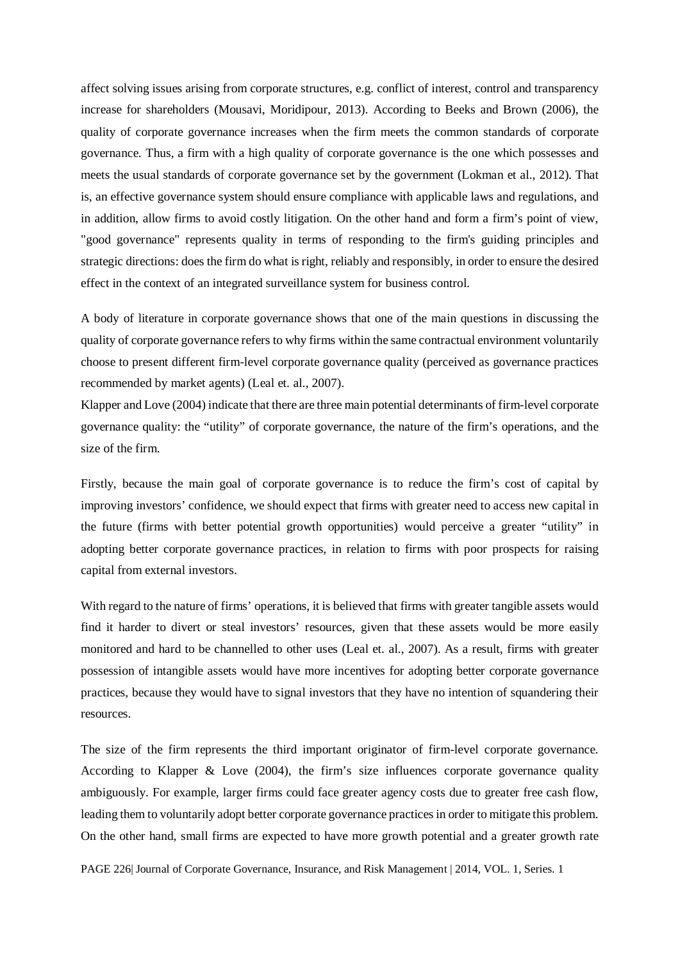affect solving issues arising from corporate structures, e.g. conflict of interest, control and transparency increase for shareholders (Mousavi, Moridipour, 2013). According to Beeks and Brown (2006), the quality of corporate governance increases when the firm meets the common standards of corporate governance. Thus, a firm with a high quality of corporate governance is the one which possesses and meets the usual standards of corporate governance set by the government (Lokman et al., 2012). That is, an effective governance system should ensure compliance with applicable laws and regulations, and in addition, allow firms to avoid costly litigation. On the other hand and form a firm's point of view, "good governance" represents quality in terms of responding to the firm's guiding principles and strategic directions: does the firm do what is right, reliably and responsibly, in order to ensure the desired effect in the context of an integrated surveillance system for business control.

A body of literature in corporate governance shows that one of the main questions in discussing the quality of corporate governance refers to why firms within the same contractual environment voluntarily choose to present different firm-level corporate governance quality (perceived as governance practices recommended by market agents) (Leal et. al., 2007).

Klapper and Love (2004) indicate that there are three main potential determinants of firm-level corporate governance quality: the "utility" of corporate governance, the nature of the firm's operations, and the size of the firm.

Firstly, because the main goal of corporate governance is to reduce the firm's cost of capital by improving investors' confidence, we should expect that firms with greater need to access new capital in the future (firms with better potential growth opportunities) would perceive a greater "utility" in adopting better corporate governance practices, in relation to firms with poor prospects for raising capital from external investors.

With regard to the nature of firms' operations, it is believed that firms with greater tangible assets would find it harder to divert or steal investors' resources, given that these assets would be more easily monitored and hard to be channelled to other uses (Leal et. al., 2007). As a result, firms with greater possession of intangible assets would have more incentives for adopting better corporate governance practices, because they would have to signal investors that they have no intention of squandering their resources.

The size of the firm represents the third important originator of firm-level corporate governance. According to Klapper & Love (2004), the firm's size influences corporate governance quality ambiguously. For example, larger firms could face greater agency costs due to greater free cash flow, leading them to voluntarily adopt better corporate governance practices in order to mitigate this problem. On the other hand, small firms are expected to have more growth potential and a greater growth rate

PAGE 226| Journal of Corporate Governance, Insurance, and Risk Management | 2014, VOL. 1, Series. 1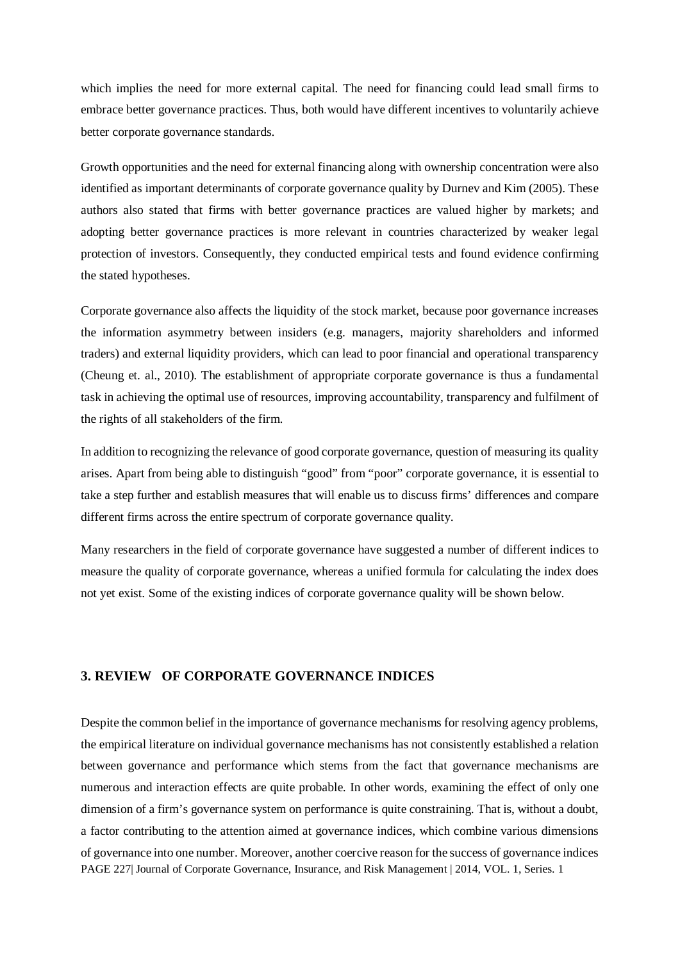which implies the need for more external capital. The need for financing could lead small firms to embrace better governance practices. Thus, both would have different incentives to voluntarily achieve better corporate governance standards.

Growth opportunities and the need for external financing along with ownership concentration were also identified as important determinants of corporate governance quality by Durnev and Kim (2005). These authors also stated that firms with better governance practices are valued higher by markets; and adopting better governance practices is more relevant in countries characterized by weaker legal protection of investors. Consequently, they conducted empirical tests and found evidence confirming the stated hypotheses.

Corporate governance also affects the liquidity of the stock market, because poor governance increases the information asymmetry between insiders (e.g. managers, majority shareholders and informed traders) and external liquidity providers, which can lead to poor financial and operational transparency (Cheung et. al., 2010). The establishment of appropriate corporate governance is thus a fundamental task in achieving the optimal use of resources, improving accountability, transparency and fulfilment of the rights of all stakeholders of the firm.

In addition to recognizing the relevance of good corporate governance, question of measuring its quality arises. Apart from being able to distinguish "good" from "poor" corporate governance, it is essential to take a step further and establish measures that will enable us to discuss firms' differences and compare different firms across the entire spectrum of corporate governance quality.

Many researchers in the field of corporate governance have suggested a number of different indices to measure the quality of corporate governance, whereas a unified formula for calculating the index does not yet exist. Some of the existing indices of corporate governance quality will be shown below.

### **3. REVIEW OF CORPORATE GOVERNANCE INDICES**

PAGE 227 Journal of Corporate Governance, Insurance, and Risk Management | 2014, VOL. 1, Series. 1 Despite the common belief in the importance of governance mechanisms for resolving agency problems, the empirical literature on individual governance mechanisms has not consistently established a relation between governance and performance which stems from the fact that governance mechanisms are numerous and interaction effects are quite probable. In other words, examining the effect of only one dimension of a firm's governance system on performance is quite constraining. That is, without a doubt, a factor contributing to the attention aimed at governance indices, which combine various dimensions of governance into one number. Moreover, another coercive reason for the success of governance indices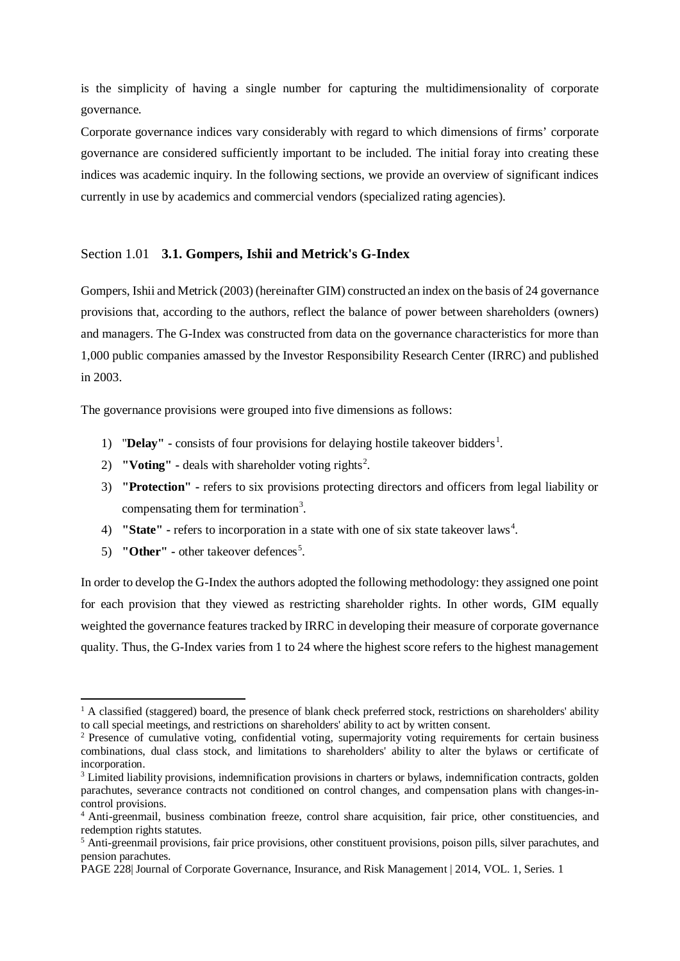is the simplicity of having a single number for capturing the multidimensionality of corporate governance.

Corporate governance indices vary considerably with regard to which dimensions of firms' corporate governance are considered sufficiently important to be included. The initial foray into creating these indices was academic inquiry. In the following sections, we provide an overview of significant indices currently in use by academics and commercial vendors (specialized rating agencies).

### Section 1.01 **3.1. Gompers, Ishii and Metrick's G-Index**

Gompers, Ishii and Metrick (2003) (hereinafter GIM) constructed an index on the basis of 24 governance provisions that, according to the authors, reflect the balance of power between shareholders (owners) and managers. The G-Index was constructed from data on the governance characteristics for more than 1,000 public companies amassed by the Investor Responsibility Research Center (IRRC) and published in 2003.

The governance provisions were grouped into five dimensions as follows:

- [1](#page-4-0)) **"Delay"** consists of four provisions for delaying hostile takeover bidders<sup>1</sup>.
- [2](#page-4-1)) **"Voting"** deals with shareholder voting rights<sup>2</sup>.
- 3) **"Protection" -** refers to six provisions protecting directors and officers from legal liability or compensating them for termination<sup>[3](#page-4-2)</sup>.
- [4](#page-4-3)) **"State"** refers to incorporation in a state with one of six state takeover laws<sup>4</sup>.
- [5](#page-4-4)) **"Other"** other takeover defences<sup>5</sup>.

 $\overline{a}$ 

In order to develop the G-Index the authors adopted the following methodology: they assigned one point for each provision that they viewed as restricting shareholder rights. In other words, GIM equally weighted the governance features tracked by IRRC in developing their measure of corporate governance quality. Thus, the G-Index varies from 1 to 24 where the highest score refers to the highest management

<span id="page-4-0"></span> $1$  A classified (staggered) board, the presence of blank check preferred stock, restrictions on shareholders' ability to call special meetings, and restrictions on shareholders' ability to act by written consent.

<span id="page-4-1"></span><sup>&</sup>lt;sup>2</sup> Presence of cumulative voting, confidential voting, supermajority voting requirements for certain business combinations, dual class stock, and limitations to shareholders' ability to alter the bylaws or certificate of incorporation.

<span id="page-4-2"></span><sup>3</sup> Limited liability provisions, indemnification provisions in charters or bylaws, indemnification contracts, golden parachutes, severance contracts not conditioned on control changes, and compensation plans with changes-incontrol provisions.

<span id="page-4-3"></span><sup>4</sup> Anti-greenmail, business combination freeze, control share acquisition, fair price, other constituencies, and redemption rights statutes.

<span id="page-4-4"></span><sup>5</sup> Anti-greenmail provisions, fair price provisions, other constituent provisions, poison pills, silver parachutes, and pension parachutes.

PAGE 228| Journal of Corporate Governance, Insurance, and Risk Management | 2014, VOL. 1, Series. 1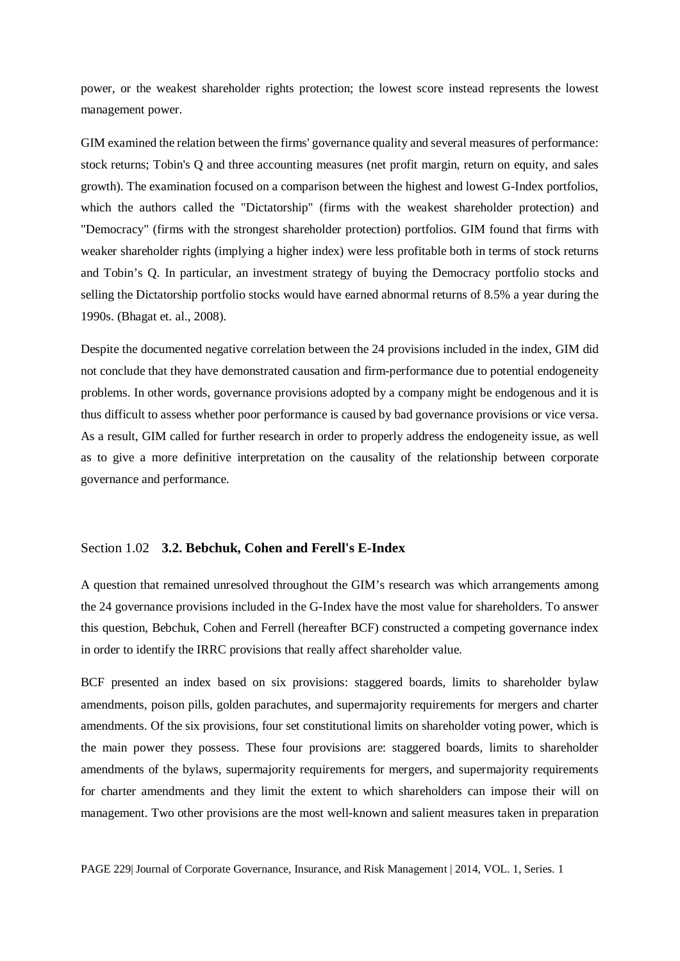power, or the weakest shareholder rights protection; the lowest score instead represents the lowest management power.

GIM examined the relation between the firms' governance quality and several measures of performance: stock returns; Tobin's Q and three accounting measures (net profit margin, return on equity, and sales growth). The examination focused on a comparison between the highest and lowest G-Index portfolios, which the authors called the "Dictatorship" (firms with the weakest shareholder protection) and "Democracy" (firms with the strongest shareholder protection) portfolios. GIM found that firms with weaker shareholder rights (implying a higher index) were less profitable both in terms of stock returns and Tobin's Q. In particular, an investment strategy of buying the Democracy portfolio stocks and selling the Dictatorship portfolio stocks would have earned abnormal returns of 8.5% a year during the 1990s. (Bhagat et. al., 2008).

Despite the documented negative correlation between the 24 provisions included in the index, GIM did not conclude that they have demonstrated causation and firm-performance due to potential endogeneity problems. In other words, governance provisions adopted by a company might be endogenous and it is thus difficult to assess whether poor performance is caused by bad governance provisions or vice versa. As a result, GIM called for further research in order to properly address the endogeneity issue, as well as to give a more definitive interpretation on the causality of the relationship between corporate governance and performance.

#### Section 1.02 **3.2. Bebchuk, Cohen and Ferell's E-Index**

A question that remained unresolved throughout the GIM's research was which arrangements among the 24 governance provisions included in the G-Index have the most value for shareholders. To answer this question, Bebchuk, Cohen and Ferrell (hereafter BCF) constructed a competing governance index in order to identify the IRRC provisions that really affect shareholder value.

BCF presented an index based on six provisions: staggered boards, limits to shareholder bylaw amendments, poison pills, golden parachutes, and supermajority requirements for mergers and charter amendments. Of the six provisions, four set constitutional limits on shareholder voting power, which is the main power they possess. These four provisions are: staggered boards, limits to shareholder amendments of the bylaws, supermajority requirements for mergers, and supermajority requirements for charter amendments and they limit the extent to which shareholders can impose their will on management. Two other provisions are the most well-known and salient measures taken in preparation

PAGE 229| Journal of Corporate Governance, Insurance, and Risk Management | 2014, VOL. 1, Series. 1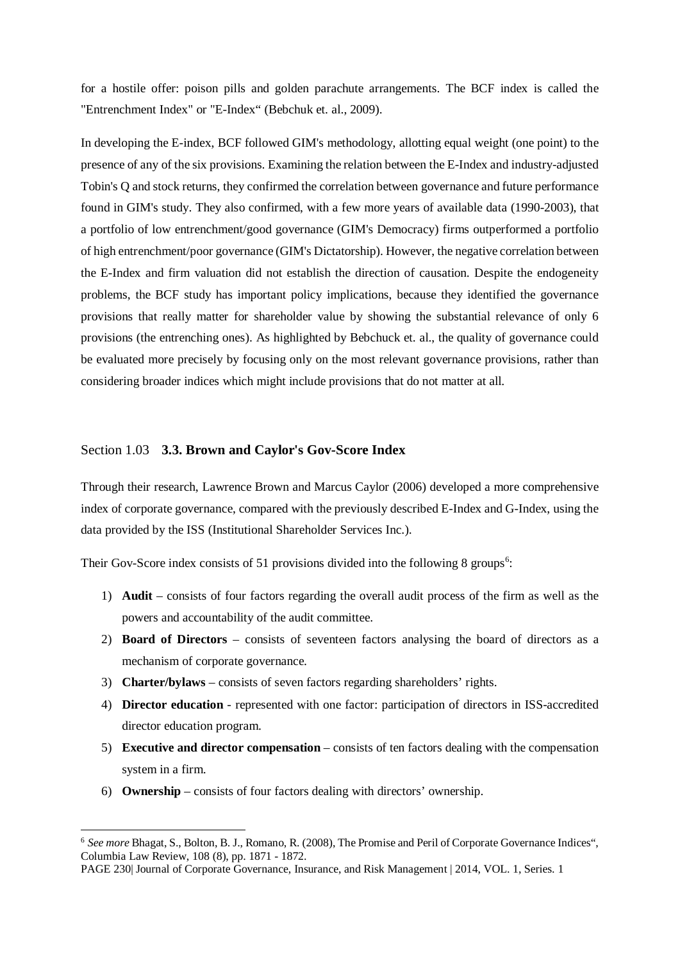for a hostile offer: poison pills and golden parachute arrangements. The BCF index is called the "Entrenchment Index" or "E-Index" (Bebchuk et. al., 2009).

In developing the E-index, BCF followed GIM's methodology, allotting equal weight (one point) to the presence of any of the six provisions. Examining the relation between the E-Index and industry-adjusted Tobin's Q and stock returns, they confirmed the correlation between governance and future performance found in GIM's study. They also confirmed, with a few more years of available data (1990-2003), that a portfolio of low entrenchment/good governance (GIM's Democracy) firms outperformed a portfolio of high entrenchment/poor governance (GIM's Dictatorship). However, the negative correlation between the E-Index and firm valuation did not establish the direction of causation. Despite the endogeneity problems, the BCF study has important policy implications, because they identified the governance provisions that really matter for shareholder value by showing the substantial relevance of only 6 provisions (the entrenching ones). As highlighted by Bebchuck et. al., the quality of governance could be evaluated more precisely by focusing only on the most relevant governance provisions, rather than considering broader indices which might include provisions that do not matter at all.

#### Section 1.03 **3.3. Brown and Caylor's Gov-Score Index**

Through their research, Lawrence Brown and Marcus Caylor (2006) developed a more comprehensive index of corporate governance, compared with the previously described E-Index and G-Index, using the data provided by the ISS (Institutional Shareholder Services Inc.).

Their Gov-Score index consists of 51 provisions divided into the following 8 groups<sup>[6](#page-6-0)</sup>:

- 1) **Audit** consists of four factors regarding the overall audit process of the firm as well as the powers and accountability of the audit committee.
- 2) **Board of Directors** consists of seventeen factors analysing the board of directors as a mechanism of corporate governance.
- 3) **Charter/bylaws** consists of seven factors regarding shareholders' rights.
- 4) **Director education** represented with one factor: participation of directors in ISS-accredited director education program.
- 5) **Executive and director compensation** consists of ten factors dealing with the compensation system in a firm.
- 6) **Ownership** consists of four factors dealing with directors' ownership.

 $\overline{a}$ 

<span id="page-6-0"></span><sup>6</sup> *See more* Bhagat, S., Bolton, B. J., Romano, R. (2008), The Promise and Peril of Corporate Governance Indices", Columbia Law Review, 108 (8), pp. 1871 - 1872.

PAGE 230| Journal of Corporate Governance, Insurance, and Risk Management | 2014, VOL. 1, Series. 1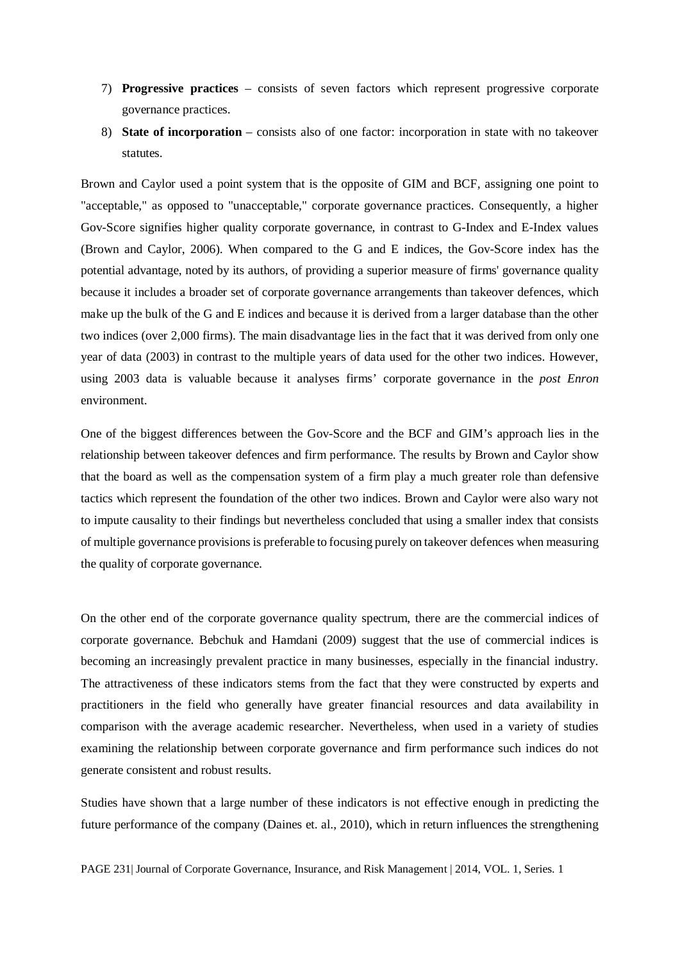- 7) **Progressive practices** consists of seven factors which represent progressive corporate governance practices.
- 8) **State of incorporation** consists also of one factor: incorporation in state with no takeover statutes.

Brown and Caylor used a point system that is the opposite of GIM and BCF, assigning one point to "acceptable," as opposed to "unacceptable," corporate governance practices. Consequently, a higher Gov-Score signifies higher quality corporate governance, in contrast to G-Index and E-Index values (Brown and Caylor, 2006). When compared to the G and E indices, the Gov-Score index has the potential advantage, noted by its authors, of providing a superior measure of firms' governance quality because it includes a broader set of corporate governance arrangements than takeover defences, which make up the bulk of the G and E indices and because it is derived from a larger database than the other two indices (over 2,000 firms). The main disadvantage lies in the fact that it was derived from only one year of data (2003) in contrast to the multiple years of data used for the other two indices. However, using 2003 data is valuable because it analyses firms' corporate governance in the *post Enron*  environment.

One of the biggest differences between the Gov-Score and the BCF and GIM's approach lies in the relationship between takeover defences and firm performance. The results by Brown and Caylor show that the board as well as the compensation system of a firm play a much greater role than defensive tactics which represent the foundation of the other two indices. Brown and Caylor were also wary not to impute causality to their findings but nevertheless concluded that using a smaller index that consists of multiple governance provisions is preferable to focusing purely on takeover defences when measuring the quality of corporate governance.

On the other end of the corporate governance quality spectrum, there are the commercial indices of corporate governance. Bebchuk and Hamdani (2009) suggest that the use of commercial indices is becoming an increasingly prevalent practice in many businesses, especially in the financial industry. The attractiveness of these indicators stems from the fact that they were constructed by experts and practitioners in the field who generally have greater financial resources and data availability in comparison with the average academic researcher. Nevertheless, when used in a variety of studies examining the relationship between corporate governance and firm performance such indices do not generate consistent and robust results.

Studies have shown that a large number of these indicators is not effective enough in predicting the future performance of the company (Daines et. al., 2010), which in return influences the strengthening

PAGE 231| Journal of Corporate Governance, Insurance, and Risk Management | 2014, VOL. 1, Series. 1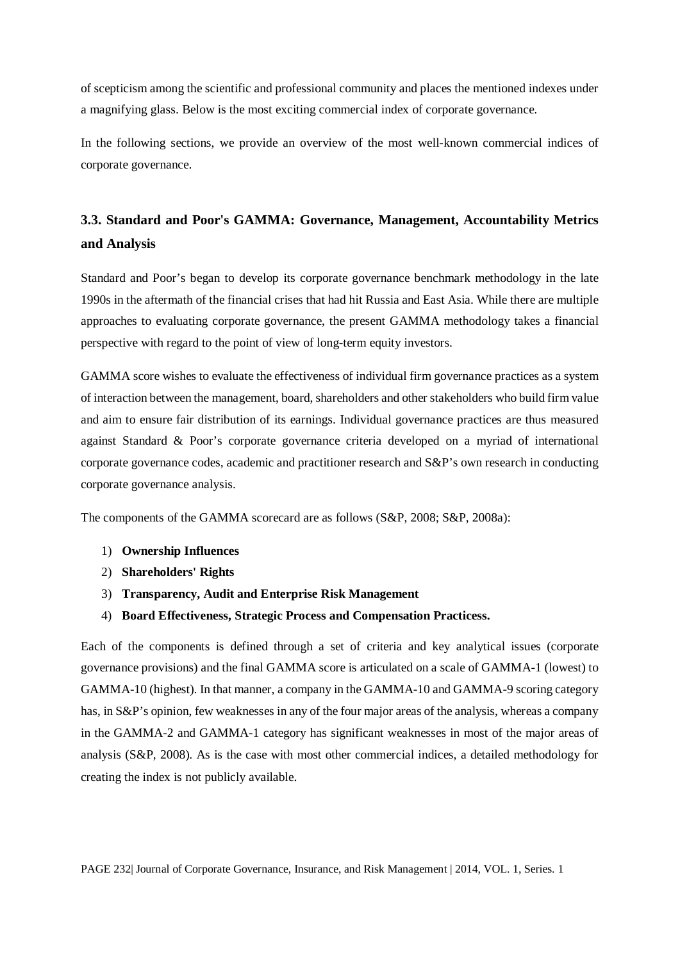of scepticism among the scientific and professional community and places the mentioned indexes under a magnifying glass. Below is the most exciting commercial index of corporate governance.

In the following sections, we provide an overview of the most well-known commercial indices of corporate governance.

# **3.3. Standard and Poor's GAMMA: Governance, Management, Accountability Metrics and Analysis**

Standard and Poor's began to develop its corporate governance benchmark methodology in the late 1990s in the aftermath of the financial crises that had hit Russia and East Asia. While there are multiple approaches to evaluating corporate governance, the present GAMMA methodology takes a financial perspective with regard to the point of view of long-term equity investors.

GAMMA score wishes to evaluate the effectiveness of individual firm governance practices as a system of interaction between the management, board, shareholders and other stakeholders who build firm value and aim to ensure fair distribution of its earnings. Individual governance practices are thus measured against Standard & Poor's corporate governance criteria developed on a myriad of international corporate governance codes, academic and practitioner research and S&P's own research in conducting corporate governance analysis.

The components of the GAMMA scorecard are as follows (S&P, 2008; S&P, 2008a):

- 1) **Ownership Influences**
- 2) **Shareholders' Rights**
- 3) **Transparency, Audit and Enterprise Risk Management**
- 4) **Board Effectiveness, Strategic Process and Compensation Practicess.**

Each of the components is defined through a set of criteria and key analytical issues (corporate governance provisions) and the final GAMMA score is articulated on a scale of GAMMA-1 (lowest) to GAMMA-10 (highest). In that manner, a company in the GAMMA-10 and GAMMA-9 scoring category has, in S&P's opinion, few weaknesses in any of the four major areas of the analysis, whereas a company in the GAMMA-2 and GAMMA-1 category has significant weaknesses in most of the major areas of analysis (S&P, 2008). As is the case with most other commercial indices, a detailed methodology for creating the index is not publicly available.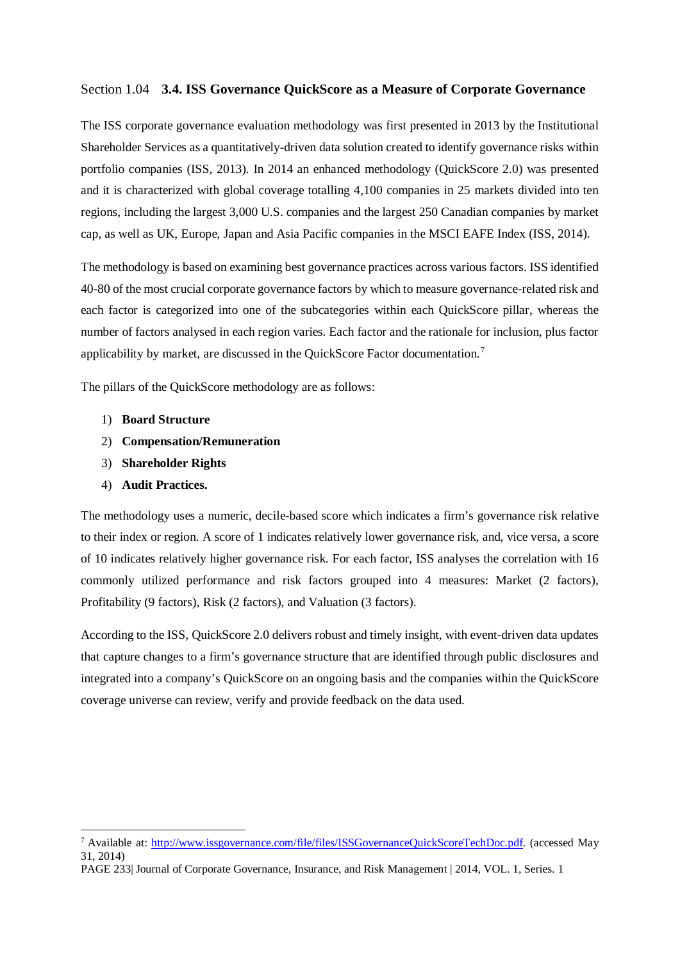# Section 1.04 **3.4. ISS Governance QuickScore as a Measure of Corporate Governance**

The ISS corporate governance evaluation methodology was first presented in 2013 by the Institutional Shareholder Services as a quantitatively-driven data solution created to identify governance risks within portfolio companies (ISS, 2013). In 2014 an enhanced methodology (QuickScore 2.0) was presented and it is characterized with global coverage totalling 4,100 companies in 25 markets divided into ten regions, including the largest 3,000 U.S. companies and the largest 250 Canadian companies by market cap, as well as UK, Europe, Japan and Asia Pacific companies in the MSCI EAFE Index (ISS, 2014).

The methodology is based on examining best governance practices across various factors. ISS identified 40-80 of the most crucial corporate governance factors by which to measure governance-related risk and each factor is categorized into one of the subcategories within each QuickScore pillar, whereas the number of factors analysed in each region varies. Each factor and the rationale for inclusion, plus factor applicability by market, are discussed in the QuickScore Factor documentation.[7](#page-9-0)

The pillars of the QuickScore methodology are as follows:

- 1) **Board Structure**
- 2) **Compensation/Remuneration**
- 3) **Shareholder Rights**
- 4) **Audit Practices.**

 $\overline{a}$ 

The methodology uses a numeric, decile-based score which indicates a firm's governance risk relative to their index or region. A score of 1 indicates relatively lower governance risk, and, vice versa, a score of 10 indicates relatively higher governance risk. For each factor, ISS analyses the correlation with 16 commonly utilized performance and risk factors grouped into 4 measures: Market (2 factors), Profitability (9 factors), Risk (2 factors), and Valuation (3 factors).

According to the ISS, QuickScore 2.0 delivers robust and timely insight, with event-driven data updates that capture changes to a firm's governance structure that are identified through public disclosures and integrated into a company's QuickScore on an ongoing basis and the companies within the QuickScore coverage universe can review, verify and provide feedback on the data used.

<span id="page-9-0"></span><sup>7</sup> Available at: [http://www.issgovernance.com/file/files/ISSGovernanceQuickScoreTechDoc.pdf.](http://www.issgovernance.com/file/files/ISSGovernanceQuickScoreTechDoc.pdf) (accessed May 31, 2014)

PAGE 233| Journal of Corporate Governance, Insurance, and Risk Management | 2014, VOL. 1, Series. 1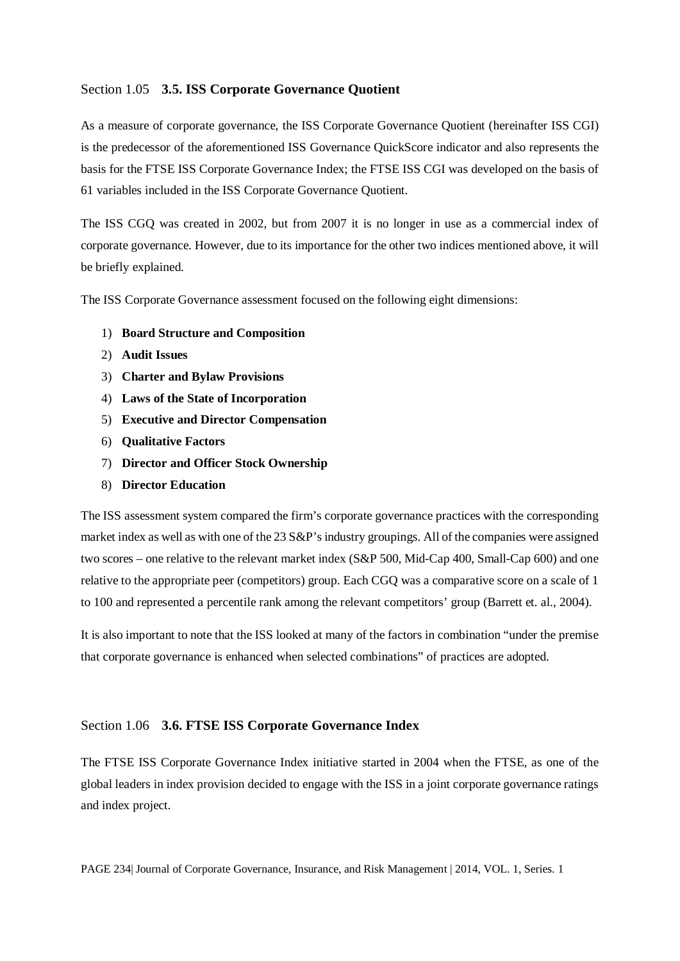# Section 1.05 **3.5. ISS Corporate Governance Quotient**

As a measure of corporate governance, the ISS Corporate Governance Quotient (hereinafter ISS CGI) is the predecessor of the aforementioned ISS Governance QuickScore indicator and also represents the basis for the FTSE ISS Corporate Governance Index; the FTSE ISS CGI was developed on the basis of 61 variables included in the ISS Corporate Governance Quotient.

The ISS CGQ was created in 2002, but from 2007 it is no longer in use as a commercial index of corporate governance. However, due to its importance for the other two indices mentioned above, it will be briefly explained.

The ISS Corporate Governance assessment focused on the following eight dimensions:

- 1) **Board Structure and Composition**
- 2) **Audit Issues**
- 3) **Charter and Bylaw Provisions**
- 4) **Laws of the State of Incorporation**
- 5) **Executive and Director Compensation**
- 6) **Qualitative Factors**
- 7) **Director and Officer Stock Ownership**
- 8) **Director Education**

The ISS assessment system compared the firm's corporate governance practices with the corresponding market index as well as with one of the 23 S&P's industry groupings. All of the companies were assigned two scores – one relative to the relevant market index (S&P 500, Mid-Cap 400, Small-Cap 600) and one relative to the appropriate peer (competitors) group. Each CGQ was a comparative score on a scale of 1 to 100 and represented a percentile rank among the relevant competitors' group (Barrett et. al., 2004).

It is also important to note that the ISS looked at many of the factors in combination "under the premise that corporate governance is enhanced when selected combinations" of practices are adopted.

### Section 1.06 **3.6. FTSE ISS Corporate Governance Index**

The FTSE ISS Corporate Governance Index initiative started in 2004 when the FTSE, as one of the global leaders in index provision decided to engage with the ISS in a joint corporate governance ratings and index project.

PAGE 234| Journal of Corporate Governance, Insurance, and Risk Management | 2014, VOL. 1, Series. 1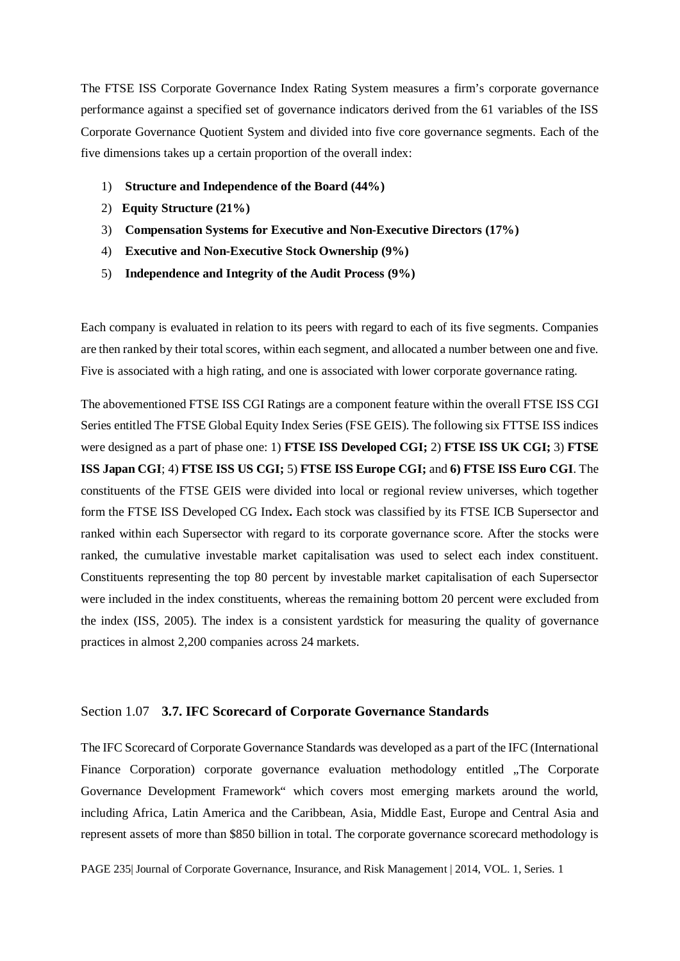The FTSE ISS Corporate Governance Index Rating System measures a firm's corporate governance performance against a specified set of governance indicators derived from the 61 variables of the ISS Corporate Governance Quotient System and divided into five core governance segments. Each of the five dimensions takes up a certain proportion of the overall index:

- 1) **Structure and Independence of the Board (44%)**
- 2) **Equity Structure (21%)**
- 3) **Compensation Systems for Executive and Non-Executive Directors (17%)**
- 4) **Executive and Non-Executive Stock Ownership (9%)**
- 5) **Independence and Integrity of the Audit Process (9%)**

Each company is evaluated in relation to its peers with regard to each of its five segments. Companies are then ranked by their total scores, within each segment, and allocated a number between one and five. Five is associated with a high rating, and one is associated with lower corporate governance rating.

The abovementioned FTSE ISS CGI Ratings are a component feature within the overall FTSE ISS CGI Series entitled The FTSE Global Equity Index Series (FSE GEIS). The following six FTTSE ISS indices were designed as a part of phase one: 1) **FTSE ISS Developed CGI;** 2) **FTSE ISS UK CGI;** 3) **FTSE ISS Japan CGI**; 4) **FTSE ISS US CGI;** 5) **FTSE ISS Europe CGI;** and **6) FTSE ISS Euro CGI**. The constituents of the FTSE GEIS were divided into local or regional review universes, which together form the FTSE ISS Developed CG Index**.** Each stock was classified by its FTSE ICB Supersector and ranked within each Supersector with regard to its corporate governance score. After the stocks were ranked, the cumulative investable market capitalisation was used to select each index constituent. Constituents representing the top 80 percent by investable market capitalisation of each Supersector were included in the index constituents, whereas the remaining bottom 20 percent were excluded from the index (ISS, 2005). The index is a consistent yardstick for measuring the quality of governance practices in almost 2,200 companies across 24 markets.

### Section 1.07 **3.7. IFC Scorecard of Corporate Governance Standards**

The IFC Scorecard of Corporate Governance Standards was developed as a part of the IFC (International Finance Corporation) corporate governance evaluation methodology entitled "The Corporate" Governance Development Framework" which covers most emerging markets around the world, including Africa, Latin America and the Caribbean, Asia, Middle East, Europe and Central Asia and represent assets of more than \$850 billion in total. The corporate governance scorecard methodology is

PAGE 235| Journal of Corporate Governance, Insurance, and Risk Management | 2014, VOL. 1, Series. 1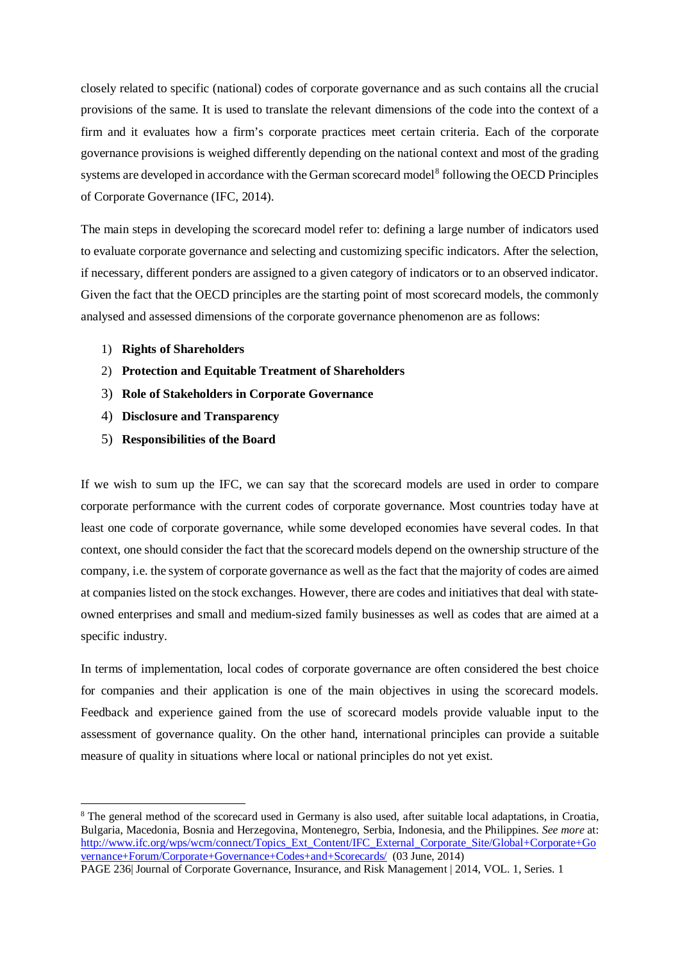closely related to specific (national) codes of corporate governance and as such contains all the crucial provisions of the same. It is used to translate the relevant dimensions of the code into the context of a firm and it evaluates how a firm's corporate practices meet certain criteria. Each of the corporate governance provisions is weighed differently depending on the national context and most of the grading systems are developed in accordance with the German scorecard model<sup>[8](#page-12-0)</sup> following the OECD Principles of Corporate Governance (IFC, 2014).

The main steps in developing the scorecard model refer to: defining a large number of indicators used to evaluate corporate governance and selecting and customizing specific indicators. After the selection, if necessary, different ponders are assigned to a given category of indicators or to an observed indicator. Given the fact that the OECD principles are the starting point of most scorecard models, the commonly analysed and assessed dimensions of the corporate governance phenomenon are as follows:

- 1) **Rights of Shareholders**
- 2) **Protection and Equitable Treatment of Shareholders**
- 3) **Role of Stakeholders in Corporate Governance**
- 4) **Disclosure and Transparency**
- 5) **Responsibilities of the Board**

 $\overline{a}$ 

If we wish to sum up the IFC, we can say that the scorecard models are used in order to compare corporate performance with the current codes of corporate governance. Most countries today have at least one code of corporate governance, while some developed economies have several codes. In that context, one should consider the fact that the scorecard models depend on the ownership structure of the company, i.e. the system of corporate governance as well as the fact that the majority of codes are aimed at companies listed on the stock exchanges. However, there are codes and initiatives that deal with stateowned enterprises and small and medium-sized family businesses as well as codes that are aimed at a specific industry.

In terms of implementation, local codes of corporate governance are often considered the best choice for companies and their application is one of the main objectives in using the scorecard models. Feedback and experience gained from the use of scorecard models provide valuable input to the assessment of governance quality. On the other hand, international principles can provide a suitable measure of quality in situations where local or national principles do not yet exist.

<span id="page-12-0"></span><sup>&</sup>lt;sup>8</sup> The general method of the scorecard used in Germany is also used, after suitable local adaptations, in Croatia, Bulgaria, Macedonia, Bosnia and Herzegovina, Montenegro, Serbia, Indonesia, and the Philippines. *See more* at: [http://www.ifc.org/wps/wcm/connect/Topics\\_Ext\\_Content/IFC\\_External\\_Corporate\\_Site/Global+Corporate+Go](http://www.ifc.org/wps/wcm/connect/Topics_Ext_Content/IFC_External_Corporate_Site/Global+Corporate+Governance+Forum/Corporate+Governance+Codes+and+Scorecards/) [vernance+Forum/Corporate+Governance+Codes+and+Scorecards/](http://www.ifc.org/wps/wcm/connect/Topics_Ext_Content/IFC_External_Corporate_Site/Global+Corporate+Governance+Forum/Corporate+Governance+Codes+and+Scorecards/) (03 June, 2014)

PAGE 236| Journal of Corporate Governance, Insurance, and Risk Management | 2014, VOL. 1, Series. 1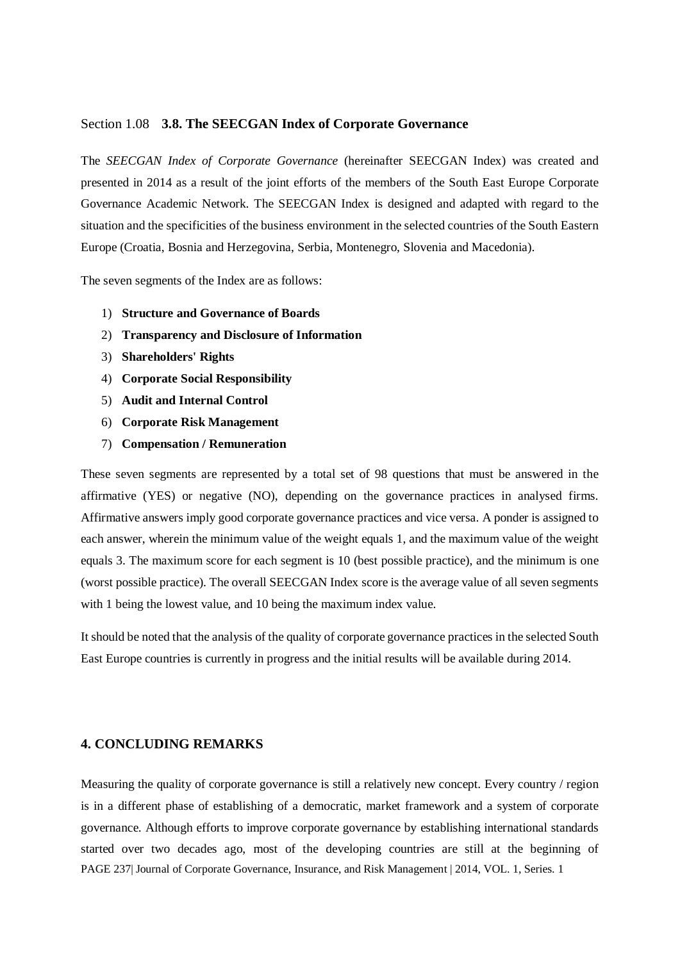#### Section 1.08 **3.8. The SEECGAN Index of Corporate Governance**

The *SEECGAN Index of Corporate Governance* (hereinafter SEECGAN Index) was created and presented in 2014 as a result of the joint efforts of the members of the South East Europe Corporate Governance Academic Network. The SEECGAN Index is designed and adapted with regard to the situation and the specificities of the business environment in the selected countries of the South Eastern Europe (Croatia, Bosnia and Herzegovina, Serbia, Montenegro, Slovenia and Macedonia).

The seven segments of the Index are as follows:

- 1) **Structure and Governance of Boards**
- 2) **Transparency and Disclosure of Information**
- 3) **Shareholders' Rights**
- 4) **Corporate Social Responsibility**
- 5) **Audit and Internal Control**
- 6) **Corporate Risk Management**
- 7) **Compensation / Remuneration**

These seven segments are represented by a total set of 98 questions that must be answered in the affirmative (YES) or negative (NO), depending on the governance practices in analysed firms. Affirmative answers imply good corporate governance practices and vice versa. A ponder is assigned to each answer, wherein the minimum value of the weight equals 1, and the maximum value of the weight equals 3. The maximum score for each segment is 10 (best possible practice), and the minimum is one (worst possible practice). The overall SEECGAN Index score is the average value of all seven segments with 1 being the lowest value, and 10 being the maximum index value.

It should be noted that the analysis of the quality of corporate governance practices in the selected South East Europe countries is currently in progress and the initial results will be available during 2014.

# **4. CONCLUDING REMARKS**

PAGE 237| Journal of Corporate Governance, Insurance, and Risk Management | 2014, VOL. 1, Series. 1 Measuring the quality of corporate governance is still a relatively new concept. Every country / region is in a different phase of establishing of a democratic, market framework and a system of corporate governance. Although efforts to improve corporate governance by establishing international standards started over two decades ago, most of the developing countries are still at the beginning of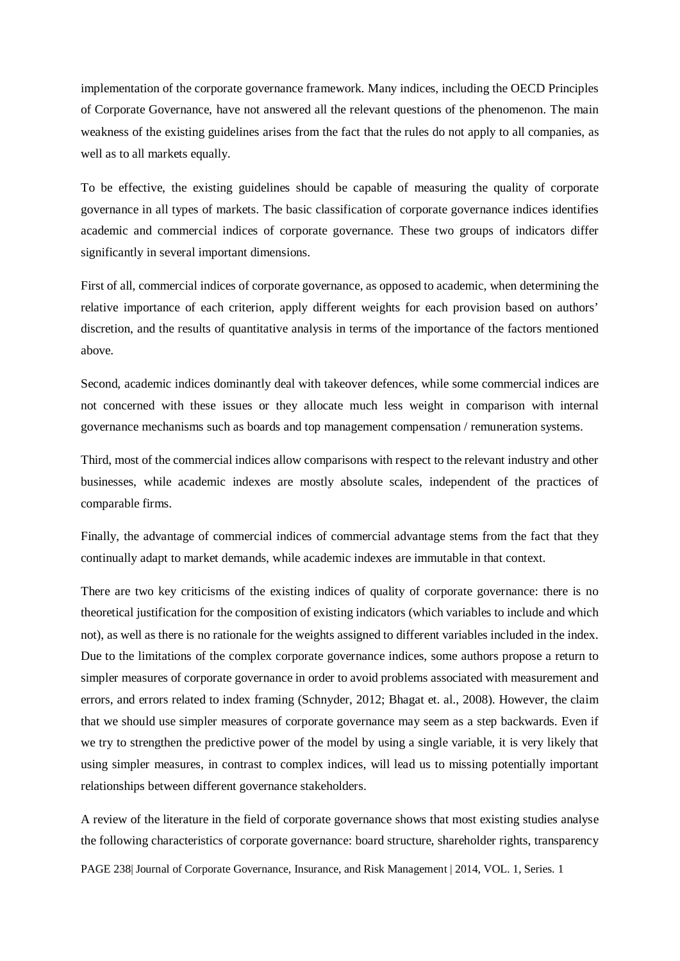implementation of the corporate governance framework. Many indices, including the OECD Principles of Corporate Governance, have not answered all the relevant questions of the phenomenon. The main weakness of the existing guidelines arises from the fact that the rules do not apply to all companies, as well as to all markets equally.

To be effective, the existing guidelines should be capable of measuring the quality of corporate governance in all types of markets. The basic classification of corporate governance indices identifies academic and commercial indices of corporate governance. These two groups of indicators differ significantly in several important dimensions.

First of all, commercial indices of corporate governance, as opposed to academic, when determining the relative importance of each criterion, apply different weights for each provision based on authors' discretion, and the results of quantitative analysis in terms of the importance of the factors mentioned above.

Second, academic indices dominantly deal with takeover defences, while some commercial indices are not concerned with these issues or they allocate much less weight in comparison with internal governance mechanisms such as boards and top management compensation / remuneration systems.

Third, most of the commercial indices allow comparisons with respect to the relevant industry and other businesses, while academic indexes are mostly absolute scales, independent of the practices of comparable firms.

Finally, the advantage of commercial indices of commercial advantage stems from the fact that they continually adapt to market demands, while academic indexes are immutable in that context.

There are two key criticisms of the existing indices of quality of corporate governance: there is no theoretical justification for the composition of existing indicators (which variables to include and which not), as well as there is no rationale for the weights assigned to different variables included in the index. Due to the limitations of the complex corporate governance indices, some authors propose a return to simpler measures of corporate governance in order to avoid problems associated with measurement and errors, and errors related to index framing (Schnyder, 2012; Bhagat et. al., 2008). However, the claim that we should use simpler measures of corporate governance may seem as a step backwards. Even if we try to strengthen the predictive power of the model by using a single variable, it is very likely that using simpler measures, in contrast to complex indices, will lead us to missing potentially important relationships between different governance stakeholders.

PAGE 238| Journal of Corporate Governance, Insurance, and Risk Management | 2014, VOL. 1, Series. 1 A review of the literature in the field of corporate governance shows that most existing studies analyse the following characteristics of corporate governance: board structure, shareholder rights, transparency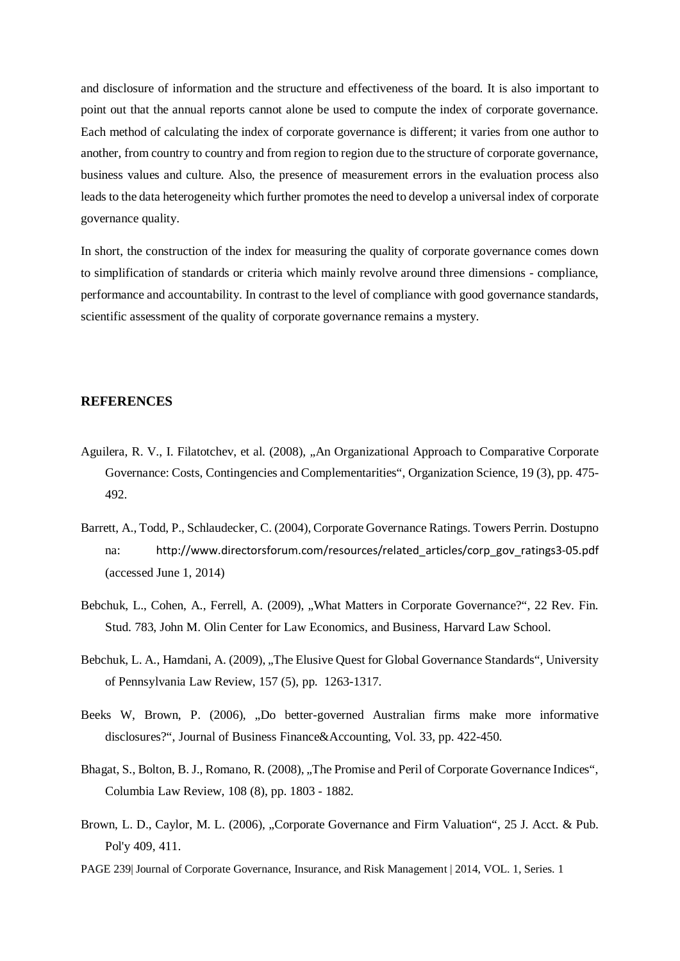and disclosure of information and the structure and effectiveness of the board. It is also important to point out that the annual reports cannot alone be used to compute the index of corporate governance. Each method of calculating the index of corporate governance is different; it varies from one author to another, from country to country and from region to region due to the structure of corporate governance, business values and culture. Also, the presence of measurement errors in the evaluation process also leads to the data heterogeneity which further promotes the need to develop a universal index of corporate governance quality.

In short, the construction of the index for measuring the quality of corporate governance comes down to simplification of standards or criteria which mainly revolve around three dimensions - compliance, performance and accountability. In contrast to the level of compliance with good governance standards, scientific assessment of the quality of corporate governance remains a mystery.

#### **REFERENCES**

- Aguilera, R. V., I. Filatotchev, et al. (2008), "An Organizational Approach to Comparative Corporate Governance: Costs, Contingencies and Complementarities", Organization Science, 19 (3), pp. 475- 492.
- Barrett, A., Todd, P., Schlaudecker, C. (2004), Corporate Governance Ratings. Towers Perrin. Dostupno na: [http://www.directorsforum.com/resources/related\\_articles/corp\\_gov\\_ratings3-05.pdf](http://www.directorsforum.com/resources/related_articles/corp_gov_ratings3-05.pdf) (accessed June 1, 2014)
- Bebchuk, L., Cohen, A., Ferrell, A. (2009), "What Matters in Corporate Governance?", 22 Rev. Fin. Stud. 783, John M. Olin Center for Law Economics, and Business, Harvard Law School.
- Bebchuk, L. A., Hamdani, A. (2009), .,The Elusive Quest for Global Governance Standards", University of Pennsylvania Law Review, 157 (5), pp. 1263-1317.
- Beeks W, Brown, P. (2006), "Do better-governed Australian firms make more informative disclosures?", Journal of Business Finance&Accounting, Vol. 33, pp. 422-450.
- Bhagat, S., Bolton, B. J., Romano, R. (2008), "The Promise and Peril of Corporate Governance Indices", Columbia Law Review, 108 (8), pp. 1803 - 1882.
- Brown, L. D., Caylor, M. L. (2006), "Corporate Governance and Firm Valuation", 25 J. Acct. & Pub. Pol'y 409, 411.
- PAGE 239| Journal of Corporate Governance, Insurance, and Risk Management | 2014, VOL. 1, Series. 1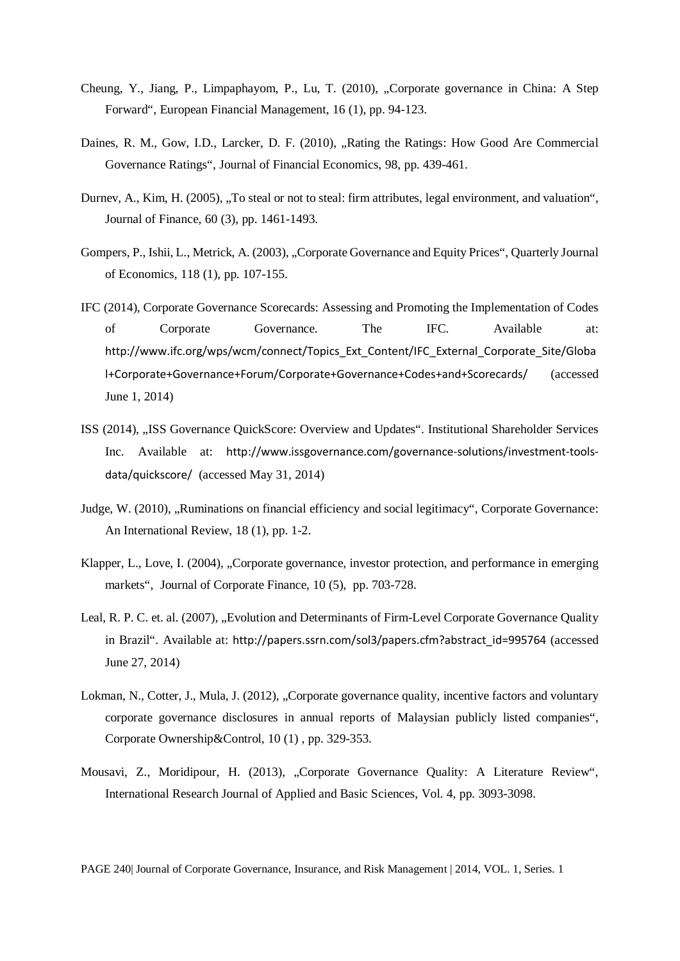- Cheung, Y., Jiang, P., Limpaphayom, P., Lu, T. (2010), "Corporate governance in China: A Step Forward", European Financial Management, 16 (1), pp. 94-123.
- Daines, R. M., Gow, I.D., Larcker, D. F. (2010), "Rating the Ratings: How Good Are Commercial Governance Ratings", Journal of Financial Economics, 98, pp. 439-461.
- Durnev, A., Kim, H. (2005), "To steal or not to steal: firm attributes, legal environment, and valuation", Journal of Finance, 60 (3), pp. 1461-1493.
- Gompers, P., Ishii, L., Metrick, A. (2003), "Corporate Governance and Equity Prices", Quarterly Journal of Economics, 118 (1), pp. 107-155.
- IFC (2014), Corporate Governance Scorecards: Assessing and Promoting the Implementation of Codes of Corporate Governance. The IFC. Available at: [http://www.ifc.org/wps/wcm/connect/Topics\\_Ext\\_Content/IFC\\_External\\_Corporate\\_Site/Globa](http://www.ifc.org/wps/wcm/connect/Topics_Ext_Content/IFC_External_Corporate_Site/Global+Corporate+Governance+Forum/Corporate+Governance+Codes+and+Scorecards/) [l+Corporate+Governance+Forum/Corporate+Governance+Codes+and+Scorecards/](http://www.ifc.org/wps/wcm/connect/Topics_Ext_Content/IFC_External_Corporate_Site/Global+Corporate+Governance+Forum/Corporate+Governance+Codes+and+Scorecards/) (accessed June 1, 2014)
- ISS (2014), "ISS Governance QuickScore: Overview and Updates". Institutional Shareholder Services Inc. Available at: [http://www.issgovernance.com/governance-solutions/investment-tools](http://www.issgovernance.com/governance-solutions/investment-tools-data/quickscore/)[data/quickscore/](http://www.issgovernance.com/governance-solutions/investment-tools-data/quickscore/) (accessed May 31, 2014)
- Judge, W. (2010), "Ruminations on financial efficiency and social legitimacy", Corporate Governance: An International Review, 18 (1), pp. 1-2.
- Klapper, L., Love, I. (2004), "Corporate governance, investor protection, and performance in emerging markets", Journal of Corporate Finance, 10 (5), pp. 703-728.
- Leal, R. P. C. et. al. (2007), "Evolution and Determinants of Firm-Level Corporate Governance Quality in Brazil". Available at: [http://papers.ssrn.com/sol3/papers.cfm?abstract\\_id=995764](http://papers.ssrn.com/sol3/papers.cfm?abstract_id=995764) (accessed June 27, 2014)
- Lokman, N., Cotter, J., Mula, J. (2012), "Corporate governance quality, incentive factors and voluntary corporate governance disclosures in annual reports of Malaysian publicly listed companies", Corporate Ownership&Control, 10 (1) , pp. 329-353.
- Mousavi, Z., Moridipour, H. (2013), "Corporate Governance Quality: A Literature Review", International Research Journal of Applied and Basic Sciences, Vol. 4, pp. 3093-3098.

PAGE 240| Journal of Corporate Governance, Insurance, and Risk Management | 2014, VOL. 1, Series. 1